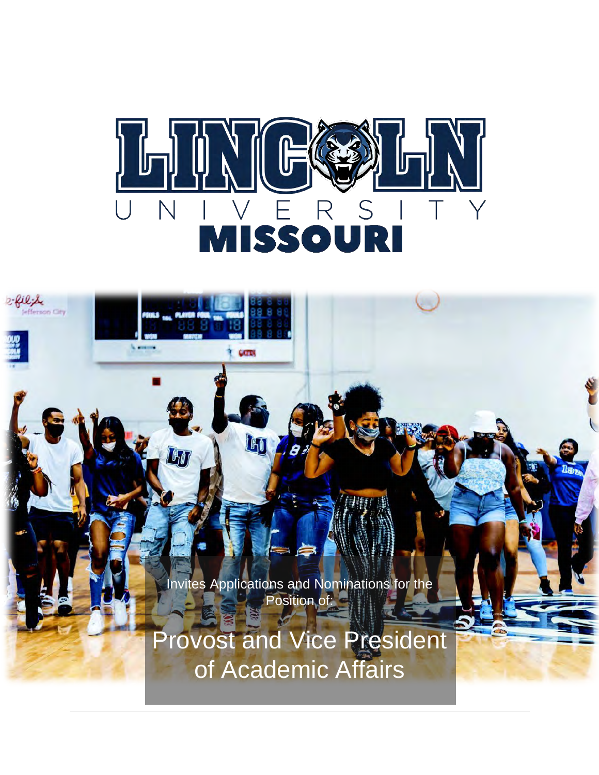

COTS

LHO

阿

2-filipe

efferson City



Provost and Vice President of Academic Affairs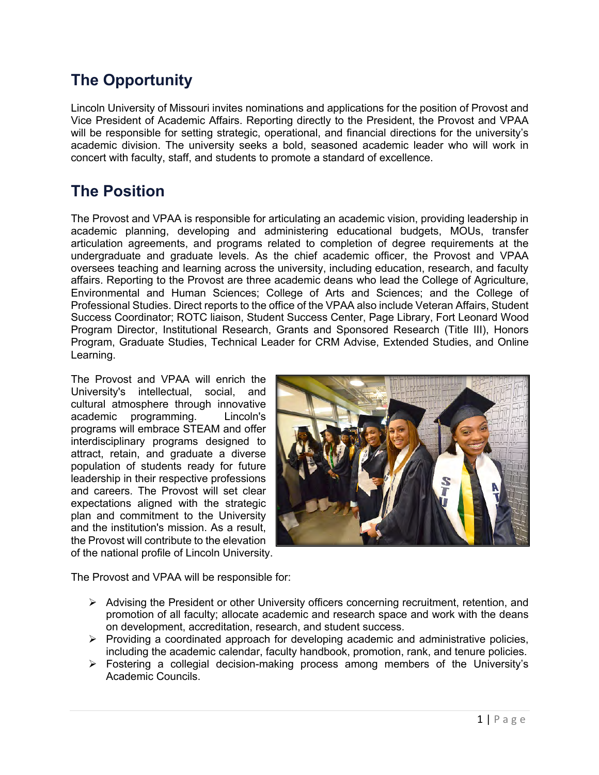# **The Opportunity**

Lincoln University of Missouri invites nominations and applications for the position of Provost and Vice President of Academic Affairs. Reporting directly to the President, the Provost and VPAA will be responsible for setting strategic, operational, and financial directions for the university's academic division. The university seeks a bold, seasoned academic leader who will work in concert with faculty, staff, and students to promote a standard of excellence.

# **The Position**

The Provost and VPAA is responsible for articulating an academic vision, providing leadership in academic planning, developing and administering educational budgets, MOUs, transfer articulation agreements, and programs related to completion of degree requirements at the undergraduate and graduate levels. As the chief academic officer, the Provost and VPAA oversees teaching and learning across the university, including education, research, and faculty affairs. Reporting to the Provost are three academic deans who lead the College of Agriculture, Environmental and Human Sciences; College of Arts and Sciences; and the College of Professional Studies. Direct reports to the office of the VPAA also include Veteran Affairs, Student Success Coordinator; ROTC liaison, Student Success Center, Page Library, Fort Leonard Wood Program Director, Institutional Research, Grants and Sponsored Research (Title III), Honors Program, Graduate Studies, Technical Leader for CRM Advise, Extended Studies, and Online Learning.

The Provost and VPAA will enrich the University's intellectual, social, and cultural atmosphere through innovative academic programming. Lincoln's programs will embrace STEAM and offer interdisciplinary programs designed to attract, retain, and graduate a diverse population of students ready for future leadership in their respective professions and careers. The Provost will set clear expectations aligned with the strategic plan and commitment to the University and the institution's mission. As a result, the Provost will contribute to the elevation of the national profile of Lincoln University.



The Provost and VPAA will be responsible for:

- $\triangleright$  Advising the President or other University officers concerning recruitment, retention, and promotion of all faculty; allocate academic and research space and work with the deans on development, accreditation, research, and student success.
- $\triangleright$  Providing a coordinated approach for developing academic and administrative policies, including the academic calendar, faculty handbook, promotion, rank, and tenure policies.
- $\triangleright$  Fostering a collegial decision-making process among members of the University's Academic Councils.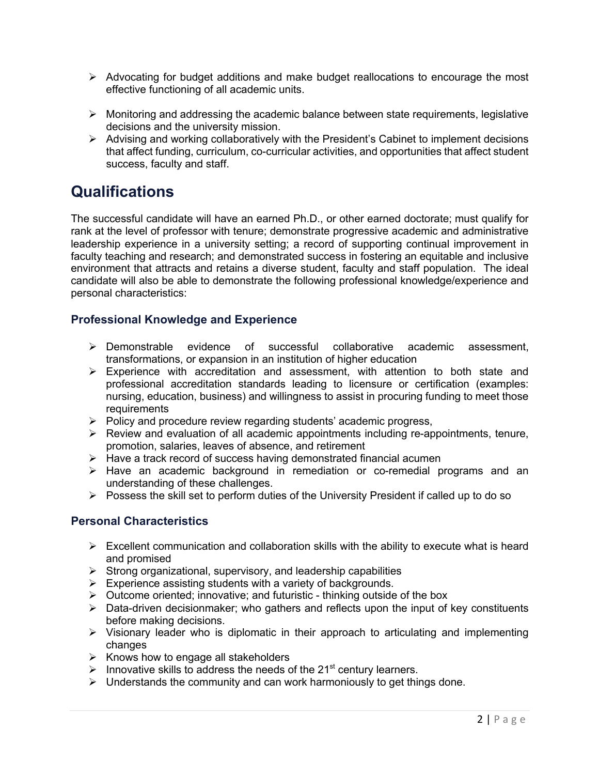- $\triangleright$  Advocating for budget additions and make budget reallocations to encourage the most effective functioning of all academic units.
- $\triangleright$  Monitoring and addressing the academic balance between state requirements, legislative decisions and the university mission.
- $\triangleright$  Advising and working collaboratively with the President's Cabinet to implement decisions that affect funding, curriculum, co-curricular activities, and opportunities that affect student success, faculty and staff.

## **Qualifications**

The successful candidate will have an earned Ph.D., or other earned doctorate; must qualify for rank at the level of professor with tenure; demonstrate progressive academic and administrative leadership experience in a university setting; a record of supporting continual improvement in faculty teaching and research; and demonstrated success in fostering an equitable and inclusive environment that attracts and retains a diverse student, faculty and staff population. The ideal candidate will also be able to demonstrate the following professional knowledge/experience and personal characteristics:

#### **Professional Knowledge and Experience**

- $\triangleright$  Demonstrable evidence of successful collaborative academic assessment, transformations, or expansion in an institution of higher education
- $\triangleright$  Experience with accreditation and assessment, with attention to both state and professional accreditation standards leading to licensure or certification (examples: nursing, education, business) and willingness to assist in procuring funding to meet those requirements
- $\triangleright$  Policy and procedure review regarding students' academic progress,
- $\triangleright$  Review and evaluation of all academic appointments including re-appointments, tenure, promotion, salaries, leaves of absence, and retirement
- $\triangleright$  Have a track record of success having demonstrated financial acumen
- $\triangleright$  Have an academic background in remediation or co-remedial programs and an understanding of these challenges.
- $\triangleright$  Possess the skill set to perform duties of the University President if called up to do so

#### **Personal Characteristics**

- $\triangleright$  Excellent communication and collaboration skills with the ability to execute what is heard and promised
- $\triangleright$  Strong organizational, supervisory, and leadership capabilities
- $\triangleright$  Experience assisting students with a variety of backgrounds.
- $\triangleright$  Outcome oriented; innovative; and futuristic thinking outside of the box
- $\triangleright$  Data-driven decisionmaker; who gathers and reflects upon the input of key constituents before making decisions.
- $\triangleright$  Visionary leader who is diplomatic in their approach to articulating and implementing changes
- $\triangleright$  Knows how to engage all stakeholders
- $\triangleright$  Innovative skills to address the needs of the 21<sup>st</sup> century learners.
- $\triangleright$  Understands the community and can work harmoniously to get things done.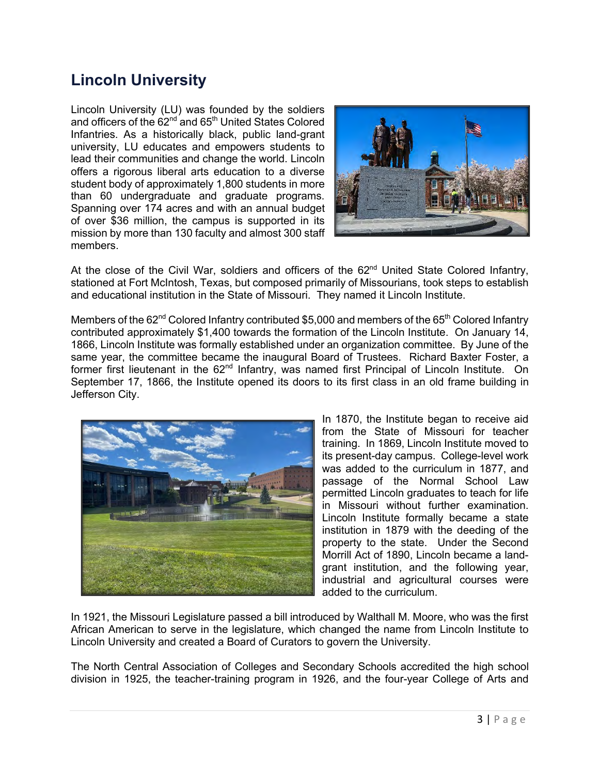## **Lincoln University**

Lincoln University (LU) was founded by the soldiers and officers of the  $62<sup>nd</sup>$  and  $65<sup>th</sup>$  United States Colored Infantries. As a historically black, public land-grant university, LU educates and empowers students to lead their communities and change the world. Lincoln offers a rigorous liberal arts education to a diverse student body of approximately 1,800 students in more than 60 undergraduate and graduate programs. Spanning over 174 acres and with an annual budget of over \$36 million, the campus is supported in its mission by more than 130 faculty and almost 300 staff members.



At the close of the Civil War, soldiers and officers of the  $62<sup>nd</sup>$  United State Colored Infantry, stationed at Fort McIntosh, Texas, but composed primarily of Missourians, took steps to establish and educational institution in the State of Missouri. They named it Lincoln Institute.

Members of the 62<sup>nd</sup> Colored Infantry contributed \$5,000 and members of the 65<sup>th</sup> Colored Infantry contributed approximately \$1,400 towards the formation of the Lincoln Institute. On January 14, 1866, Lincoln Institute was formally established under an organization committee. By June of the same year, the committee became the inaugural Board of Trustees. Richard Baxter Foster, a former first lieutenant in the 62<sup>nd</sup> Infantry, was named first Principal of Lincoln Institute. On September 17, 1866, the Institute opened its doors to its first class in an old frame building in Jefferson City.



In 1870, the Institute began to receive aid from the State of Missouri for teacher training. In 1869, Lincoln Institute moved to its present-day campus. College-level work was added to the curriculum in 1877, and passage of the Normal School Law permitted Lincoln graduates to teach for life in Missouri without further examination. Lincoln Institute formally became a state institution in 1879 with the deeding of the property to the state. Under the Second Morrill Act of 1890, Lincoln became a landgrant institution, and the following year, industrial and agricultural courses were added to the curriculum.

In 1921, the Missouri Legislature passed a bill introduced by Walthall M. Moore, who was the first African American to serve in the legislature, which changed the name from Lincoln Institute to Lincoln University and created a Board of Curators to govern the University.

The North Central Association of Colleges and Secondary Schools accredited the high school division in 1925, the teacher-training program in 1926, and the four-year College of Arts and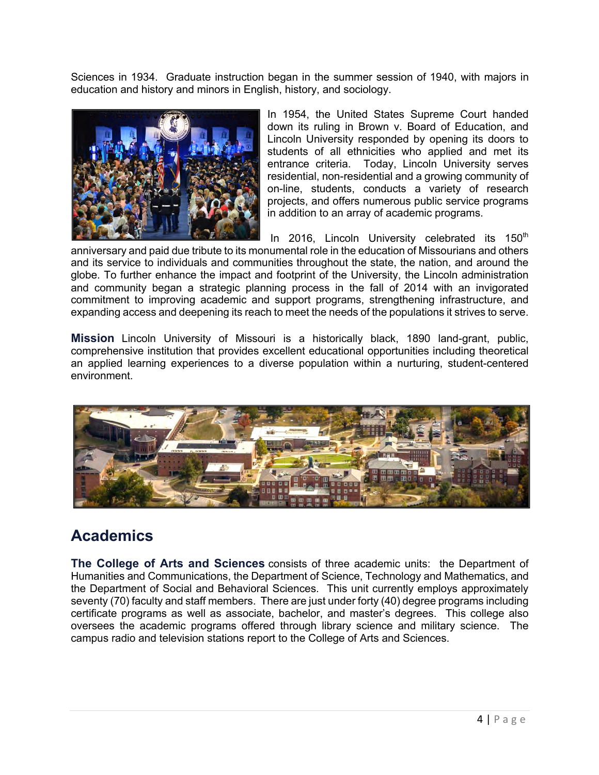Sciences in 1934. Graduate instruction began in the summer session of 1940, with majors in education and history and minors in English, history, and sociology.



In 1954, the United States Supreme Court handed down its ruling in Brown v. Board of Education, and Lincoln University responded by opening its doors to students of all ethnicities who applied and met its entrance criteria. Today, Lincoln University serves residential, non-residential and a growing community of on-line, students, conducts a variety of research projects, and offers numerous public service programs in addition to an array of academic programs.

In 2016, Lincoln University celebrated its  $150<sup>th</sup>$ anniversary and paid due tribute to its monumental role in the education of Missourians and others and its service to individuals and communities throughout the state, the nation, and around the globe. To further enhance the impact and footprint of the University, the Lincoln administration and community began a strategic planning process in the fall of 2014 with an invigorated commitment to improving academic and support programs, strengthening infrastructure, and expanding access and deepening its reach to meet the needs of the populations it strives to serve.

**Mission** Lincoln University of Missouri is a historically black, 1890 land-grant, public, comprehensive institution that provides excellent educational opportunities including theoretical an applied learning experiences to a diverse population within a nurturing, student-centered environment.



### **Academics**

**The College of Arts and Sciences** consists of three academic units: the Department of Humanities and Communications, the Department of Science, Technology and Mathematics, and the Department of Social and Behavioral Sciences. This unit currently employs approximately seventy (70) faculty and staff members. There are just under forty (40) degree programs including certificate programs as well as associate, bachelor, and master's degrees. This college also oversees the academic programs offered through library science and military science. The campus radio and television stations report to the College of Arts and Sciences.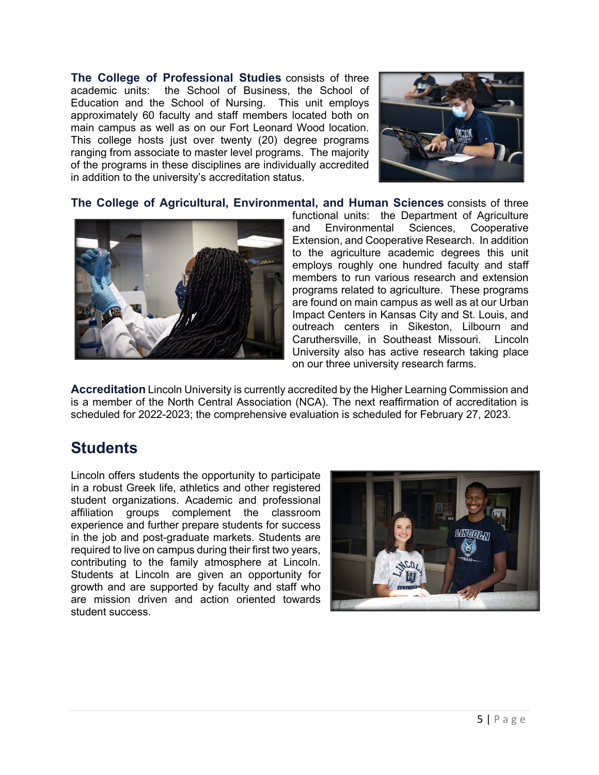**The College of Professional Studies** consists of three academic units: the School of Business, the School of Education and the School of Nursing. This unit employs approximately 60 faculty and staff members located both on main campus as well as on our Fort Leonard Wood location. This college hosts just over twenty (20) degree programs ranging from associate to master level programs. The majority of the programs in these disciplines are individually accredited in addition to the university's accreditation status.



**The College of Agricultural, Environmental, and Human Sciences** consists of three



functional units: the Department of Agriculture and Environmental Sciences, Cooperative Extension, and Cooperative Research. In addition to the agriculture academic degrees this unit employs roughly one hundred faculty and staff members to run various research and extension programs related to agriculture. These programs are found on main campus as well as at our Urban Impact Centers in Kansas City and St. Louis, and outreach centers in Sikeston, Lilbourn and Caruthersville, in Southeast Missouri. Lincoln University also has active research taking place on our three university research farms.

**Accreditation** Lincoln University is currently accredited by the Higher Learning Commission and is a member of the North Central Association (NCA). The next reaffirmation of accreditation is scheduled for 2022-2023; the comprehensive evaluation is scheduled for February 27, 2023.

### **Students**

Lincoln offers students the opportunity to participate in a robust Greek life, athletics and other registered student organizations. Academic and professional affiliation groups complement the classroom experience and further prepare students for success in the job and post-graduate markets. Students are required to live on campus during their first two years, contributing to the family atmosphere at Lincoln. Students at Lincoln are given an opportunity for growth and are supported by faculty and staff who are mission driven and action oriented towards student success.

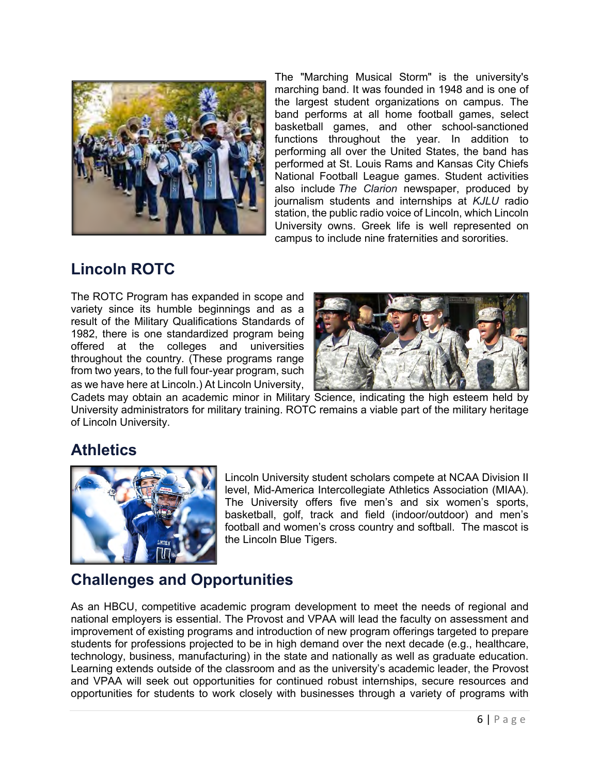

The "Marching Musical Storm" is the university's marching band. It was founded in 1948 and is one of the largest student organizations on campus. The band performs at all home football games, select basketball games, and other school-sanctioned functions throughout the year. In addition to performing all over the United States, the band has performed at St. Louis Rams and Kansas City Chiefs National Football League games. Student activities also include *The Clarion* newspaper, produced by journalism students and internships at *KJLU* radio station, the public radio voice of Lincoln, which Lincoln University owns. Greek life is well represented on campus to include nine fraternities and sororities.

## **Lincoln ROTC**

The ROTC Program has expanded in scope and variety since its humble beginnings and as a result of the Military Qualifications Standards of 1982, there is one standardized program being offered at the colleges and universities throughout the country. (These programs range from two years, to the full four-year program, such as we have here at Lincoln.) At Lincoln University,



Cadets may obtain an academic minor in Military Science, indicating the high esteem held by University administrators for military training. ROTC remains a viable part of the military heritage of Lincoln University.

### **Athletics**



Lincoln University student scholars compete at NCAA Division II level, Mid-America Intercollegiate Athletics Association (MIAA). The University offers five men's and six women's sports, basketball, golf, track and field (indoor/outdoor) and men's football and women's cross country and softball. The mascot is the Lincoln Blue Tigers.

# **Challenges and Opportunities**

As an HBCU, competitive academic program development to meet the needs of regional and national employers is essential. The Provost and VPAA will lead the faculty on assessment and improvement of existing programs and introduction of new program offerings targeted to prepare students for professions projected to be in high demand over the next decade (e.g., healthcare, technology, business, manufacturing) in the state and nationally as well as graduate education. Learning extends outside of the classroom and as the university's academic leader, the Provost and VPAA will seek out opportunities for continued robust internships, secure resources and opportunities for students to work closely with businesses through a variety of programs with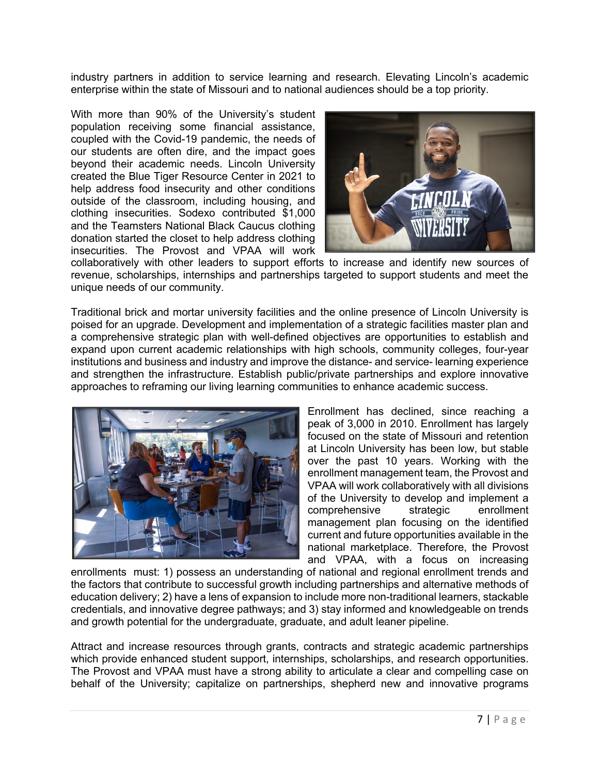industry partners in addition to service learning and research. Elevating Lincoln's academic enterprise within the state of Missouri and to national audiences should be a top priority.

With more than 90% of the University's student population receiving some financial assistance, coupled with the Covid-19 pandemic, the needs of our students are often dire, and the impact goes beyond their academic needs. Lincoln University created the Blue Tiger Resource Center in 2021 to help address food insecurity and other conditions outside of the classroom, including housing, and clothing insecurities. Sodexo contributed \$1,000 and the Teamsters National Black Caucus clothing donation started the closet to help address clothing insecurities. The Provost and VPAA will work



collaboratively with other leaders to support efforts to increase and identify new sources of revenue, scholarships, internships and partnerships targeted to support students and meet the unique needs of our community.

Traditional brick and mortar university facilities and the online presence of Lincoln University is poised for an upgrade. Development and implementation of a strategic facilities master plan and a comprehensive strategic plan with well-defined objectives are opportunities to establish and expand upon current academic relationships with high schools, community colleges, four-year institutions and business and industry and improve the distance- and service- learning experience and strengthen the infrastructure. Establish public/private partnerships and explore innovative approaches to reframing our living learning communities to enhance academic success.



Enrollment has declined, since reaching a peak of 3,000 in 2010. Enrollment has largely focused on the state of Missouri and retention at Lincoln University has been low, but stable over the past 10 years. Working with the enrollment management team, the Provost and VPAA will work collaboratively with all divisions of the University to develop and implement a comprehensive strategic enrollment management plan focusing on the identified current and future opportunities available in the national marketplace. Therefore, the Provost and VPAA, with a focus on increasing

enrollments must: 1) possess an understanding of national and regional enrollment trends and the factors that contribute to successful growth including partnerships and alternative methods of education delivery; 2) have a lens of expansion to include more non-traditional learners, stackable credentials, and innovative degree pathways; and 3) stay informed and knowledgeable on trends and growth potential for the undergraduate, graduate, and adult leaner pipeline.

Attract and increase resources through grants, contracts and strategic academic partnerships which provide enhanced student support, internships, scholarships, and research opportunities. The Provost and VPAA must have a strong ability to articulate a clear and compelling case on behalf of the University; capitalize on partnerships, shepherd new and innovative programs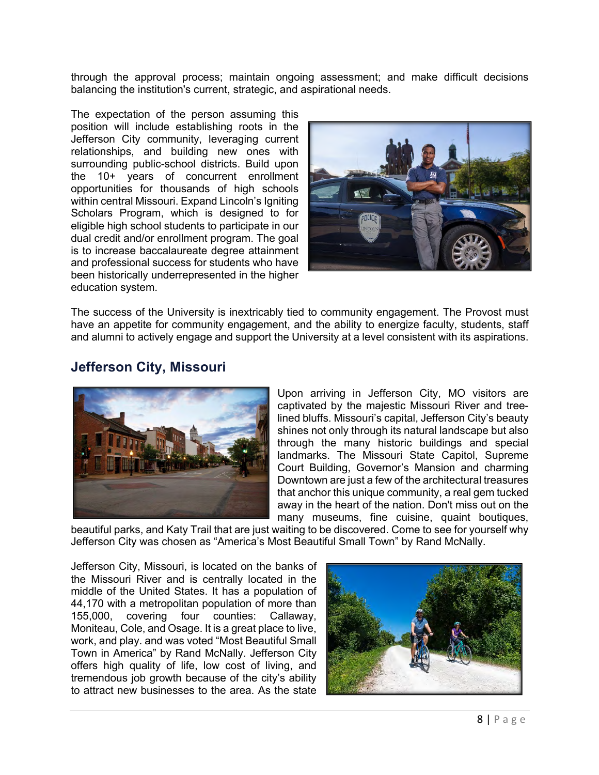through the approval process; maintain ongoing assessment; and make difficult decisions balancing the institution's current, strategic, and aspirational needs.

The expectation of the person assuming this position will include establishing roots in the Jefferson City community, leveraging current relationships, and building new ones with surrounding public-school districts. Build upon the 10+ years of concurrent enrollment opportunities for thousands of high schools within central Missouri. Expand Lincoln's laniting Scholars Program, which is designed to for eligible high school students to participate in our dual credit and/or enrollment program. The goal is to increase baccalaureate degree attainment and professional success for students who have been historically underrepresented in the higher education system.



The success of the University is inextricably tied to community engagement. The Provost must have an appetite for community engagement, and the ability to energize faculty, students, staff and alumni to actively engage and support the University at a level consistent with its aspirations.



#### **Jefferson City, Missouri**

Upon arriving in Jefferson City, MO visitors are captivated by the majestic Missouri River and treelined bluffs. Missouri's capital, Jefferson City's beauty shines not only through its natural landscape but also through the many historic buildings and special landmarks. The Missouri State Capitol, Supreme Court Building, Governor's Mansion and charming Downtown are just a few of the architectural treasures that anchor this unique community, a real gem tucked away in the heart of the nation. Don't miss out on the many museums, fine cuisine, quaint boutiques,

beautiful parks, and Katy Trail that are just waiting to be discovered. Come to see for yourself why Jefferson City was chosen as "America's Most Beautiful Small Town" by Rand McNally.

Jefferson City, Missouri, is located on the banks of the Missouri River and is centrally located in the middle of the United States. It has a population of 44,170 with a metropolitan population of more than 155,000, covering four counties: Callaway, Moniteau, Cole, and Osage. It is a great place to live, work, and play. and was voted "Most Beautiful Small Town in America" by Rand McNally. Jefferson City offers high quality of life, low cost of living, and tremendous job growth because of the city's ability to attract new businesses to the area. As the state